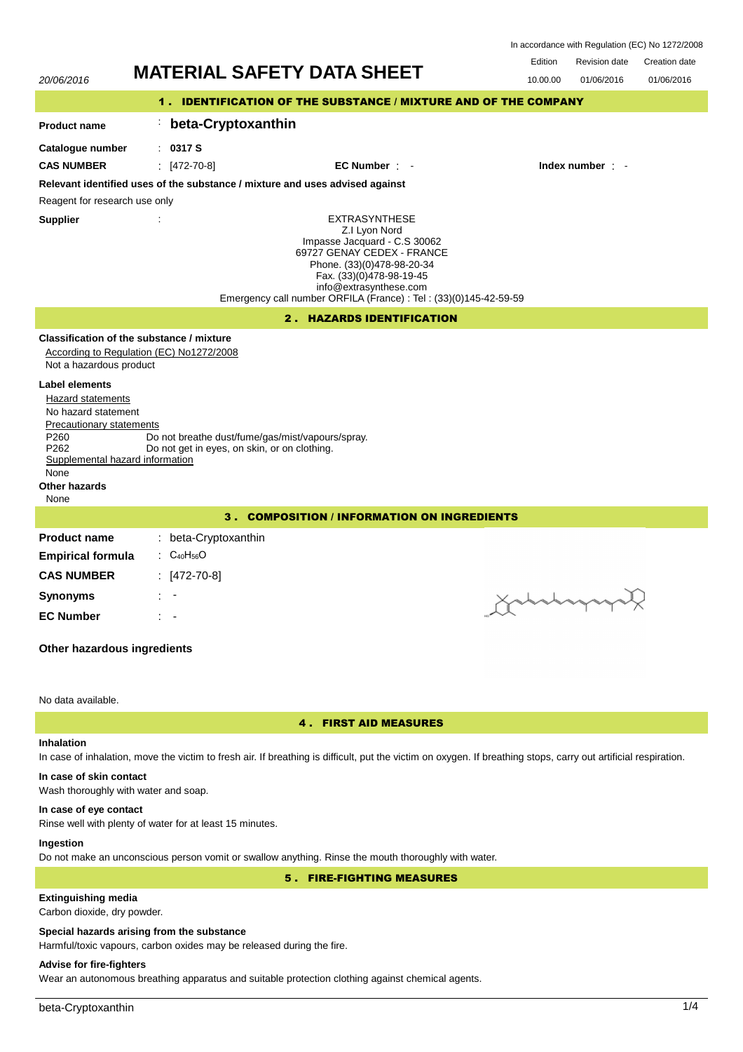|                                                                                                                                                                                                                  | In accordance with Regulation (EC) No 1272/2008 |                                                                                                  |  |                                                                                                                                                                                                                                                              |                      |               |               |            |  |  |
|------------------------------------------------------------------------------------------------------------------------------------------------------------------------------------------------------------------|-------------------------------------------------|--------------------------------------------------------------------------------------------------|--|--------------------------------------------------------------------------------------------------------------------------------------------------------------------------------------------------------------------------------------------------------------|----------------------|---------------|---------------|------------|--|--|
| <b>MATERIAL SAFETY DATA SHEET</b>                                                                                                                                                                                |                                                 |                                                                                                  |  | Edition                                                                                                                                                                                                                                                      | <b>Revision date</b> | Creation date |               |            |  |  |
| 20/06/2016                                                                                                                                                                                                       |                                                 |                                                                                                  |  |                                                                                                                                                                                                                                                              |                      | 10.00.00      | 01/06/2016    | 01/06/2016 |  |  |
| 1. IDENTIFICATION OF THE SUBSTANCE / MIXTURE AND OF THE COMPANY                                                                                                                                                  |                                                 |                                                                                                  |  |                                                                                                                                                                                                                                                              |                      |               |               |            |  |  |
| <b>Product name</b>                                                                                                                                                                                              |                                                 | beta-Cryptoxanthin                                                                               |  |                                                                                                                                                                                                                                                              |                      |               |               |            |  |  |
| Catalogue number                                                                                                                                                                                                 |                                                 | : 0317S                                                                                          |  |                                                                                                                                                                                                                                                              |                      |               |               |            |  |  |
| <b>CAS NUMBER</b>                                                                                                                                                                                                |                                                 | $[472-70-8]$                                                                                     |  | $EC$ Number $\cdot$ -                                                                                                                                                                                                                                        |                      |               | Index number: |            |  |  |
|                                                                                                                                                                                                                  |                                                 |                                                                                                  |  | Relevant identified uses of the substance / mixture and uses advised against                                                                                                                                                                                 |                      |               |               |            |  |  |
| Reagent for research use only                                                                                                                                                                                    |                                                 |                                                                                                  |  |                                                                                                                                                                                                                                                              |                      |               |               |            |  |  |
| <b>Supplier</b>                                                                                                                                                                                                  | t                                               |                                                                                                  |  | <b>EXTRASYNTHESE</b><br>Z.I Lyon Nord<br>Impasse Jacquard - C.S 30062<br>69727 GENAY CEDEX - FRANCE<br>Phone. (33)(0)478-98-20-34<br>Fax. (33)(0)478-98-19-45<br>info@extrasynthese.com<br>Emergency call number ORFILA (France) : Tel : (33)(0)145-42-59-59 |                      |               |               |            |  |  |
| 2. HAZARDS IDENTIFICATION                                                                                                                                                                                        |                                                 |                                                                                                  |  |                                                                                                                                                                                                                                                              |                      |               |               |            |  |  |
| Classification of the substance / mixture<br>According to Regulation (EC) No1272/2008<br>Not a hazardous product                                                                                                 |                                                 |                                                                                                  |  |                                                                                                                                                                                                                                                              |                      |               |               |            |  |  |
| <b>Label elements</b><br><b>Hazard statements</b><br>No hazard statement<br>Precautionary statements<br>P <sub>260</sub><br>P <sub>262</sub><br>Supplemental hazard information<br>None<br>Other hazards<br>None |                                                 | Do not breathe dust/fume/gas/mist/vapours/spray.<br>Do not get in eyes, on skin, or on clothing. |  |                                                                                                                                                                                                                                                              |                      |               |               |            |  |  |
|                                                                                                                                                                                                                  |                                                 |                                                                                                  |  | 3. COMPOSITION / INFORMATION ON INGREDIENTS                                                                                                                                                                                                                  |                      |               |               |            |  |  |
| <b>Product name</b>                                                                                                                                                                                              |                                                 | : beta-Cryptoxanthin                                                                             |  |                                                                                                                                                                                                                                                              |                      |               |               |            |  |  |
| <b>Empirical formula</b>                                                                                                                                                                                         |                                                 | : $C_{40}H_{56}O$                                                                                |  |                                                                                                                                                                                                                                                              |                      |               |               |            |  |  |
| <b>CAS NUMBER</b>                                                                                                                                                                                                |                                                 | $[472-70-8]$                                                                                     |  |                                                                                                                                                                                                                                                              |                      |               |               |            |  |  |
| <b>Synonyms</b>                                                                                                                                                                                                  |                                                 |                                                                                                  |  |                                                                                                                                                                                                                                                              |                      | Xarany        |               |            |  |  |
| <b>EC Number</b>                                                                                                                                                                                                 |                                                 |                                                                                                  |  |                                                                                                                                                                                                                                                              |                      |               |               |            |  |  |
|                                                                                                                                                                                                                  |                                                 |                                                                                                  |  |                                                                                                                                                                                                                                                              |                      |               |               |            |  |  |

# **Other hazardous ingredients**

### No data available.

### 4 . FIRST AID MEASURES

# **Inhalation**

In case of inhalation, move the victim to fresh air. If breathing is difficult, put the victim on oxygen. If breathing stops, carry out artificial respiration.

# **In case of skin contact**

Wash thoroughly with water and soap.

### **In case of eye contact**

Rinse well with plenty of water for at least 15 minutes.

# **Ingestion**

Do not make an unconscious person vomit or swallow anything. Rinse the mouth thoroughly with water.

5 . FIRE-FIGHTING MEASURES

# **Extinguishing media**

Carbon dioxide, dry powder.

# **Special hazards arising from the substance**

Harmful/toxic vapours, carbon oxides may be released during the fire.

# **Advise for fire-fighters**

Wear an autonomous breathing apparatus and suitable protection clothing against chemical agents.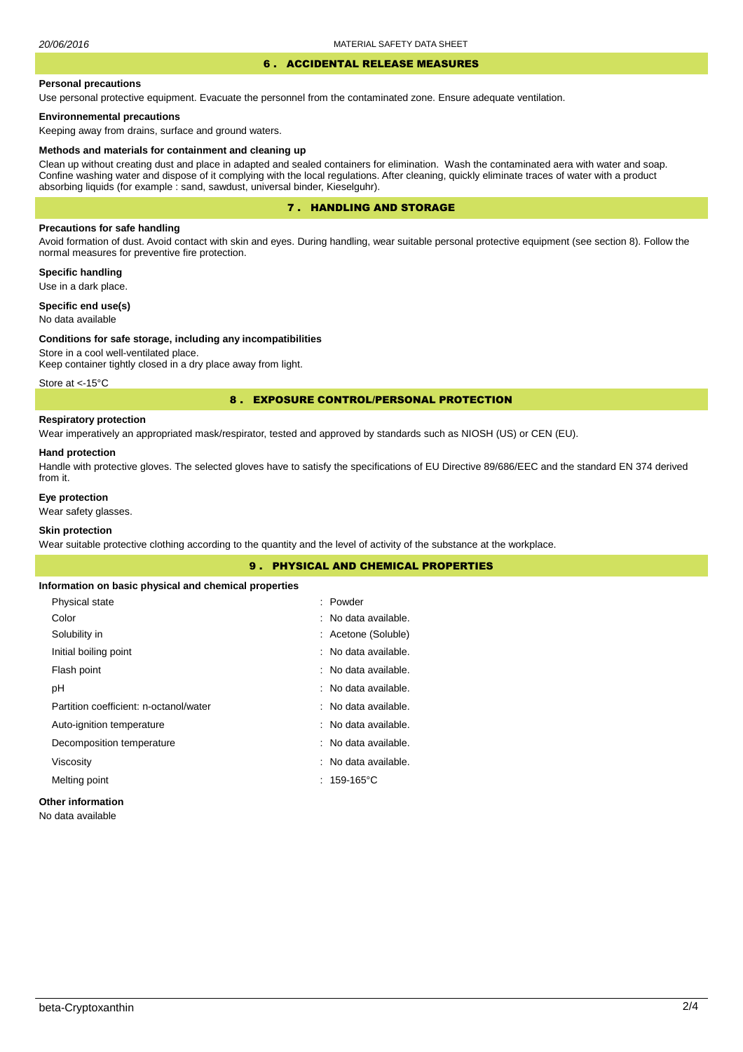# 6 . ACCIDENTAL RELEASE MEASURES

#### **Personal precautions**

Use personal protective equipment. Evacuate the personnel from the contaminated zone. Ensure adequate ventilation.

### **Environnemental precautions**

Keeping away from drains, surface and ground waters.

#### **Methods and materials for containment and cleaning up**

Clean up without creating dust and place in adapted and sealed containers for elimination. Wash the contaminated aera with water and soap. Confine washing water and dispose of it complying with the local regulations. After cleaning, quickly eliminate traces of water with a product absorbing liquids (for example : sand, sawdust, universal binder, Kieselguhr).

### 7 . HANDLING AND STORAGE

### **Precautions for safe handling**

Avoid formation of dust. Avoid contact with skin and eyes. During handling, wear suitable personal protective equipment (see section 8). Follow the normal measures for preventive fire protection.

### **Specific handling**

Use in a dark place.

# **Specific end use(s)**

No data available

#### **Conditions for safe storage, including any incompatibilities**

Store in a cool well-ventilated place. Keep container tightly closed in a dry place away from light.

Store at <- 15°C

### 8 . EXPOSURE CONTROL/PERSONAL PROTECTION

### **Respiratory protection**

Wear imperatively an appropriated mask/respirator, tested and approved by standards such as NIOSH (US) or CEN (EU).

#### **Hand protection**

Handle with protective gloves. The selected gloves have to satisfy the specifications of EU Directive 89/686/EEC and the standard EN 374 derived from it.

### **Eye protection**

Wear safety glasses.

### **Skin protection**

Wear suitable protective clothing according to the quantity and the level of activity of the substance at the workplace.

|                                                       | 9. PHYSICAL AND CHEMICAL PROPERTIES |  |
|-------------------------------------------------------|-------------------------------------|--|
| Information on basic physical and chemical properties |                                     |  |
| Physical state                                        | : Powder                            |  |
| Color                                                 | : No data available.                |  |
| Solubility in                                         | : Acetone (Soluble)                 |  |
| Initial boiling point                                 | : No data available.                |  |
| Flash point                                           | : No data available.                |  |
| рH                                                    | : No data available.                |  |
| Partition coefficient: n-octanol/water                | : No data available.                |  |
| Auto-ignition temperature                             | : No data available.                |  |
| Decomposition temperature                             | : No data available.                |  |
| Viscosity                                             | : No data available.                |  |
| Melting point                                         | $: 159-165^{\circ}$ C               |  |
| <b>Other information</b>                              |                                     |  |

No data available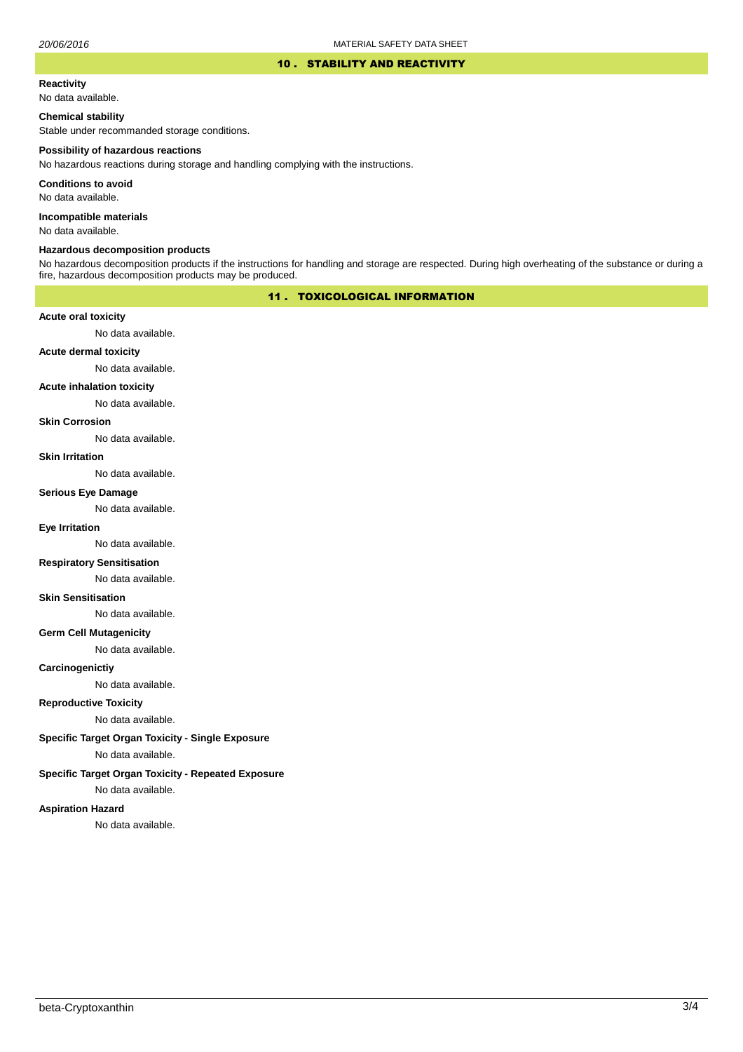#### 10 . STABILITY AND REACTIVITY

#### **Reactivity**

No data available.

### **Chemical stability**

Stable under recommanded storage conditions.

#### **Possibility of hazardous reactions**

No hazardous reactions during storage and handling complying with the instructions.

**Conditions to avoid**

No data available.

**Incompatible materials**

No data available.

#### **Hazardous decomposition products**

No hazardous decomposition products if the instructions for handling and storage are respected. During high overheating of the substance or during a fire, hazardous decomposition products may be produced.

# 11 . TOXICOLOGICAL INFORMATION

### **Acute oral toxicity**

No data available.

# **Acute dermal toxicity**

No data available.

### **Acute inhalation toxicity**

No data available.

### **Skin Corrosion**

No data available.

#### **Skin Irritation**

No data available.

#### **Serious Eye Damage**

No data available.

# **Eye Irritation**

No data available.

### **Respiratory Sensitisation**

No data available.

#### **Skin Sensitisation**

No data available.

### **Germ Cell Mutagenicity**

No data available.

### **Carcinogenictiy**

No data available.

# **Reproductive Toxicity**

No data available.

# **Specific Target Organ Toxicity - Single Exposure**

No data available.

# **Specific Target Organ Toxicity - Repeated Exposure**

No data available.

#### **Aspiration Hazard**

No data available.